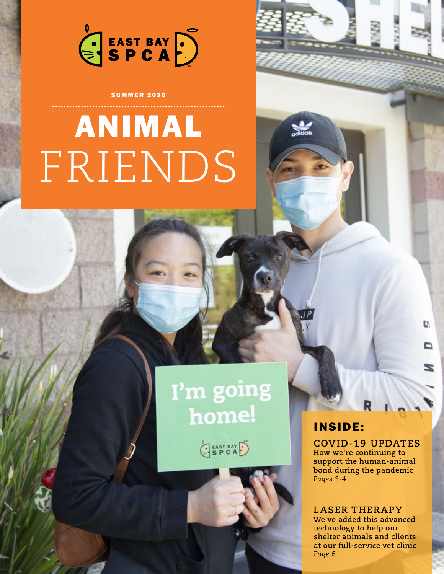

**SUMMER 2020** 

# ANIMAL FRIENDS

# I'm going home!

SPCAD

### INSIDE:

**COVID-19 UPDATES How we're continuing to support the human-animal bond during the pandemic** *Pages 3-4*

C)

▭

**LASER THERAPY We've added this advanced technology to help our shelter animals and clients at our full-service vet clinic** *Page 6*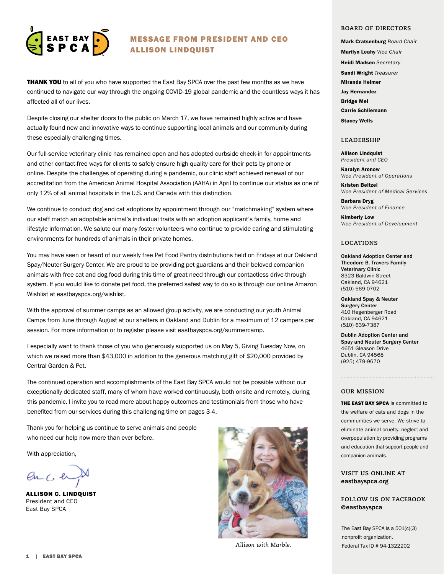

#### MESSAGE FROM PRESIDENT AND CEO ALLISON LINDQUIST

**THANK YOU** to all of you who have supported the East Bay SPCA over the past few months as we have continued to navigate our way through the ongoing COVID-19 global pandemic and the countless ways it has affected all of our lives.

Despite closing our shelter doors to the public on March 17, we have remained highly active and have actually found new and innovative ways to continue supporting local animals and our community during these especially challenging times.

Our full-service veterinary clinic has remained open and has adopted curbside check-in for appointments and other contact-free ways for clients to safely ensure high quality care for their pets by phone or online. Despite the challenges of operating during a pandemic, our clinic staff achieved renewal of our accreditation from the American Animal Hospital Association (AAHA) in April to continue our status as one of only 12% of all animal hospitals in the U.S. and Canada with this distinction.

We continue to conduct dog and cat adoptions by appointment through our "matchmaking" system where our staff match an adoptable animal's individual traits with an adoption applicant's family, home and lifestyle information. We salute our many foster volunteers who continue to provide caring and stimulating environments for hundreds of animals in their private homes.

You may have seen or heard of our weekly free Pet Food Pantry distributions held on Fridays at our Oakland Spay/Neuter Surgery Center. We are proud to be providing pet guardians and their beloved companion animals with free cat and dog food during this time of great need through our contactless drive-through system. If you would like to donate pet food, the preferred safest way to do so is through our online Amazon Wishlist at eastbayspca.org/wishlist.

With the approval of summer camps as an allowed group activity, we are conducting our youth Animal Camps from June through August at our shelters in Oakland and Dublin for a maximum of 12 campers per session. For more information or to register please visit eastbayspca.org/summercamp.

I especially want to thank those of you who generously supported us on May 5, Giving Tuesday Now, on which we raised more than \$43,000 in addition to the generous matching gift of \$20,000 provided by Central Garden & Pet.

The continued operation and accomplishments of the East Bay SPCA would not be possible without our exceptionally dedicated staff, many of whom have worked continuously, both onsite and remotely, during this pandemic. I invite you to read more about happy outcomes and testimonials from those who have benefited from our services during this challenging time on pages 3-4.

Thank you for helping us continue to serve animals and people who need our help now more than ever before.

With appreciation,

 $enC$ 

ALLISON C. LINDQUIST President and CEO East Bay SPCA



*Allison with Marble.*

#### **BOARD OF DIRECTORS**

Mark Cratsenburg *Board Chair*  Marilyn Leahy *Vice Chair* Heidi Madsen *Secretary* Sandi Wright *Treasurer* Miranda Helmer Jay Hernandez Bridge Mei Carrie Schliemann Stacey Wells

#### **LEADERSHIP**

Allison Lindquist *President and CEO*

Karalyn Aronow *Vice President of Operations*

Kristen Beitzel *Vice President of Medical Services*

Barbara Dryg *Vice President of Finance*

Kimberly Low *Vice President of Development*

#### **LOCATIONS**

Oakland Adoption Center and Theodore B. Travers Family Veterinary Clinic 8323 Baldwin Street Oakland, CA 94621 (510) 569-0702

Oakland Spay & Neuter Surgery Center 410 Hegenberger Road Oakland, CA 94621 (510) 639-7387

Dublin Adoption Center and Spay and Neuter Surgery Center 4651 Gleason Drive Dublin, CA 94568 (925) 479-9670

#### **OUR MISSION**

THE EAST BAY SPCA is committed to the welfare of cats and dogs in the communities we serve. We strive to eliminate animal cruelty, neglect and overpopulation by providing programs and education that support people and companion animals.

#### **VISIT US ONLINE AT** eastbayspca.org

#### **FOLLOW US ON FACEBOOK @**eastbayspca

The East Bay SPCA is a 501(c)(3) nonprofit organization. Federal Tax ID # 94-1322202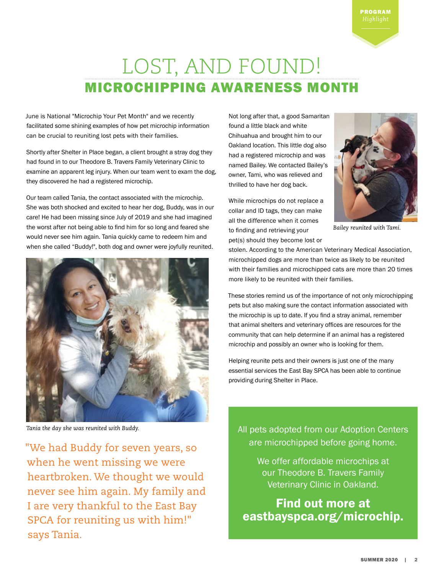## LOST, AND FOUND! MICROCHIPPING AWARENESS MONTH

June is National "Microchip Your Pet Month" and we recently facilitated some shining examples of how pet microchip information can be crucial to reuniting lost pets with their families.

Shortly after Shelter in Place began, a client brought a stray dog they had found in to our Theodore B. Travers Family Veterinary Clinic to examine an apparent leg injury. When our team went to exam the dog, they discovered he had a registered microchip.

Our team called Tania, the contact associated with the microchip. She was both shocked and excited to hear her dog, Buddy, was in our care! He had been missing since July of 2019 and she had imagined the worst after not being able to find him for so long and feared she would never see him again. Tania quickly came to redeem him and when she called "Buddy!", both dog and owner were joyfully reunited.



*Tania the day she was reunited with Buddy.*

"We had Buddy for seven years, so when he went missing we were heartbroken. We thought we would never see him again. My family and I are very thankful to the East Bay SPCA for reuniting us with him!" says Tania.

Not long after that, a good Samaritan found a little black and white Chihuahua and brought him to our Oakland location. This little dog also had a registered microchip and was named Bailey. We contacted Bailey's owner, Tami, who was relieved and thrilled to have her dog back.

While microchips do not replace a collar and ID tags, they can make all the difference when it comes to finding and retrieving your pet(s) should they become lost or



PROGRAM *Highlight*

*Bailey reunited with Tami.*

stolen. According to the American Veterinary Medical Association, microchipped dogs are more than twice as likely to be reunited with their families and microchipped cats are more than 20 times more likely to be reunited with their families.

These stories remind us of the importance of not only microchipping pets but also making sure the contact information associated with the microchip is up to date. If you find a stray animal, remember that animal shelters and veterinary offices are resources for the community that can help determine if an animal has a registered microchip and possibly an owner who is looking for them.

Helping reunite pets and their owners is just one of the many essential services the East Bay SPCA has been able to continue providing during Shelter in Place.

All pets adopted from our Adoption Centers are microchipped before going home.

> We offer affordable microchips at our Theodore B. Travers Family Veterinary Clinic in Oakland.

Find out more at eastbayspca.org/microchip.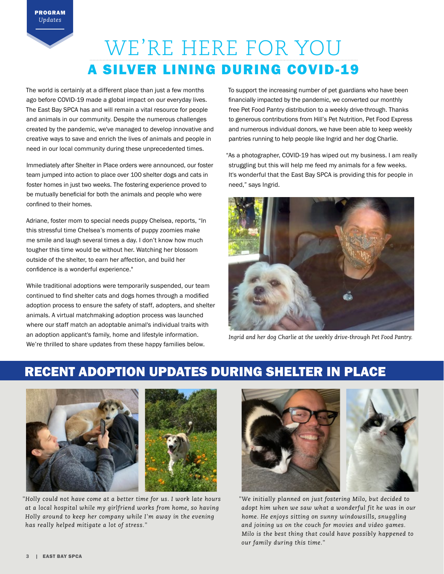# WE'RE HERE FOR YOU A SILVER LINING DURING COVID-19

The world is certainly at a different place than just a few months ago before COVID-19 made a global impact on our everyday lives. The East Bay SPCA has and will remain a vital resource for people and animals in our community. Despite the numerous challenges created by the pandemic, we've managed to develop innovative and creative ways to save and enrich the lives of animals and people in need in our local community during these unprecedented times.

Immediately after Shelter in Place orders were announced, our foster team jumped into action to place over 100 shelter dogs and cats in foster homes in just two weeks. The fostering experience proved to be mutually beneficial for both the animals and people who were confined to their homes.

Adriane, foster mom to special needs puppy Chelsea, reports, "In this stressful time Chelsea's moments of puppy zoomies make me smile and laugh several times a day. I don't know how much tougher this time would be without her. Watching her blossom outside of the shelter, to earn her affection, and build her confidence is a wonderful experience."

While traditional adoptions were temporarily suspended, our team continued to find shelter cats and dogs homes through a modified adoption process to ensure the safety of staff, adopters, and shelter animals. A virtual matchmaking adoption process was launched where our staff match an adoptable animal's individual traits with an adoption applicant's family, home and lifestyle information. We're thrilled to share updates from these happy families below.

To support the increasing number of pet guardians who have been financially impacted by the pandemic, we converted our monthly free Pet Food Pantry distribution to a weekly drive-through. Thanks to generous contributions from Hill's Pet Nutrition, Pet Food Express and numerous individual donors, we have been able to keep weekly pantries running to help people like Ingrid and her dog Charlie.

"As a photographer, COVID-19 has wiped out my business. I am really struggling but this will help me feed my animals for a few weeks. It's wonderful that the East Bay SPCA is providing this for people in need," says Ingrid.



*Ingrid and her dog Charlie at the weekly drive-through Pet Food Pantry.*

### RECENT ADOPTION UPDATES DURING SHELTER IN PLACE



*"Holly could not have come at a better time for us. I work late hours at a local hospital while my girlfriend works from home, so having Holly around to keep her company while I'm away in the evening has really helped mitigate a lot of stress."* 



*"We initially planned on just fostering Milo, but decided to adopt him when we saw what a wonderful fit he was in our home. He enjoys sitting on sunny windowsills, snuggling and joining us on the couch for movies and video games. Milo is the best thing that could have possibly happened to our family during this time."*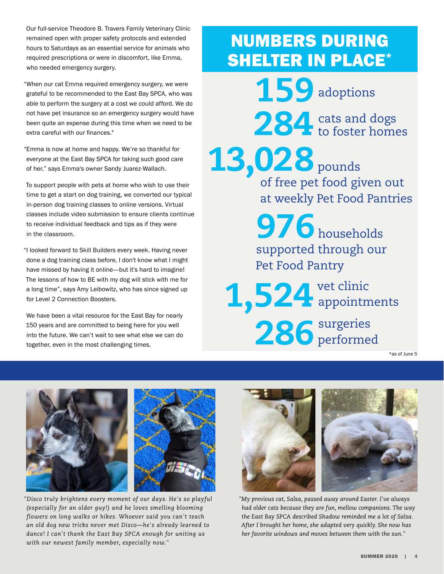Our full-service Theodore B. Travers Family Veterinary Clinic remained open with proper safety protocols and extended hours to Saturdays as an essential service for animals who required prescriptions or were in discomfort, like Emma, who needed emergency surgery.

"When our cat Emma required emergency surgery, we were grateful to be recommended to the East Bay SPCA, who was able to perform the surgery at a cost we could afford. We do not have pet insurance so an emergency surgery would have been quite an expense during this time when we need to be extra careful with our finances."

"Emma is now at home and happy. We're so thankful for everyone at the East Bay SPCA for taking such good care of her," says Emma's owner Sandy Juarez-Wallach.

To support people with pets at home who wish to use their time to get a start on dog training, we converted our typical in-person dog training classes to online versions. Virtual classes include video submission to ensure clients continue to receive individual feedback and tips as if they were in the classroom.

"I looked forward to Skill Builders every week. Having never done a dog training class before, I don't know what I might have missed by having it online*—*but it's hard to imagine! The lessons of how to BE with my dog will stick with me for a long time", says Amy Leibowitz, who has since signed up for Level 2 Connection Boosters.

We have been a vital resource for the East Bay for nearly 150 years and are committed to being here for you well into the future. We can't wait to see what else we can do together, even in the most challenging times.

# NUMBERS DURING SHELTER IN PLACE\*

159 284 cats and dogs<br>to foster home to foster homes adoptions

13,028 pounds of free pet food given out at weekly Pet Food Pantries

> 976 households supported through our Pet Food Pantry

1,524 vet clinic 286 surgeries appointments performed

\*as of June 5



*"Disco truly brightens every moment of our days. He's so playful (especially for an older guy!) and he loves smelling blooming flowers on long walks or hikes. Whoever said you can't teach an old dog new tricks never met Disco—he's already learned to dance! I can't thank the East Bay SPCA enough for uniting us with our newest family member, especially now."*



*"My previous cat, Salsa, passed away around Easter. I've always had older cats because they are fun, mellow companions. The way the East Bay SPCA described Shadow reminded me a lot of Salsa. After I brought her home, she adapted very quickly. She now has her favorite windows and moves between them with the sun."*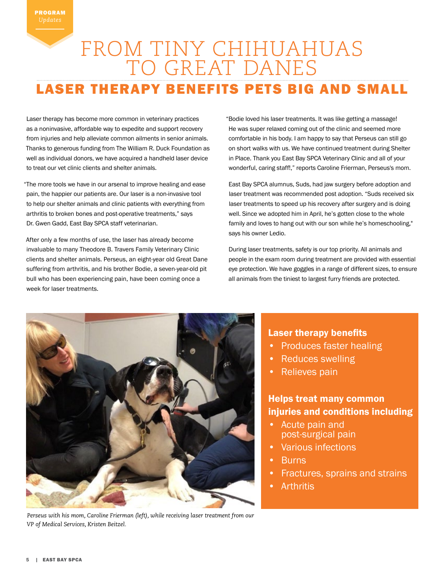### FROM TINY CHIHUAHUAS TO GREAT DANES **ASER THERAPY BENEFITS PETS BIG AND SMALL**

Laser therapy has become more common in veterinary practices as a noninvasive, affordable way to expedite and support recovery from injuries and help alleviate common ailments in senior animals. Thanks to generous funding from The William R. Duck Foundation as well as individual donors, we have acquired a handheld laser device to treat our vet clinic clients and shelter animals.

"The more tools we have in our arsenal to improve healing and ease pain, the happier our patients are. Our laser is a non-invasive tool to help our shelter animals and clinic patients with everything from arthritis to broken bones and post-operative treatments," says Dr. Gwen Gadd, East Bay SPCA staff veterinarian.

After only a few months of use, the laser has already become invaluable to many Theodore B. Travers Family Veterinary Clinic clients and shelter animals. Perseus, an eight-year old Great Dane suffering from arthritis, and his brother Bodie, a seven-year-old pit bull who has been experiencing pain, have been coming once a week for laser treatments.

"Bodie loved his laser treatments. It was like getting a massage! He was super relaxed coming out of the clinic and seemed more comfortable in his body. I am happy to say that Perseus can still go on short walks with us. We have continued treatment during Shelter in Place. Thank you East Bay SPCA Veterinary Clinic and all of your wonderful, caring staff!," reports Caroline Frierman, Perseus's mom.

East Bay SPCA alumnus, Suds, had jaw surgery before adoption and laser treatment was recommended post adoption. "Suds received six laser treatments to speed up his recovery after surgery and is doing well. Since we adopted him in April, he's gotten close to the whole family and loves to hang out with our son while he's homeschooling," says his owner Ledio.

During laser treatments, safety is our top priority. All animals and people in the exam room during treatment are provided with essential eye protection. We have goggles in a range of different sizes, to ensure all animals from the tiniest to largest furry friends are protected.



*Perseus with his mom, Caroline Frierman (left), while receiving laser treatment from our VP of Medical Services, Kristen Beitzel.*

#### Laser therapy benefits

- Produces faster healing
- Reduces swelling
- Relieves pain

### Helps treat many common injuries and conditions including

- Acute pain and post-surgical pain
- Various infections
- **Burns**
- Fractures, sprains and strains
- **Arthritis**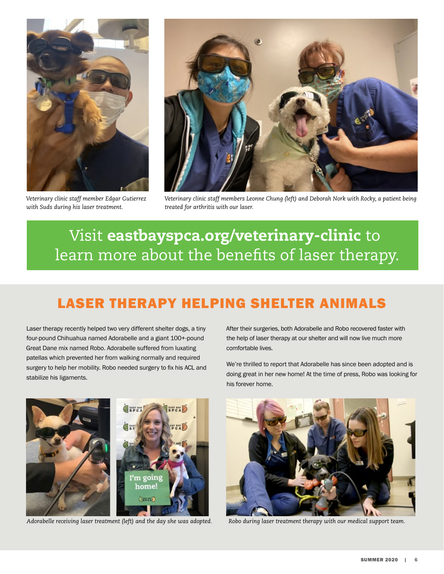

*Veterinary clinic staff member Edgar Gutierrez with Suds during his laser treatment.*



*Veterinary clinic staff members Leonne Chung (left) and Deborah Nork with Rocky, a patient being treated for arthritis with our laser.*

### Visit eastbayspca.org/veterinary-clinic to learn more about the benefits of laser therapy.

### LASER THERAPY HELPING SHELTER ANIMALS

Laser therapy recently helped two very different shelter dogs, a tiny four-pound Chihuahua named Adorabelle and a giant 100+-pound Great Dane mix named Robo. Adorabelle suffered from luxating patellas which prevented her from walking normally and required surgery to help her mobility. Robo needed surgery to fix his ACL and stabilize his ligaments.

After their surgeries, both Adorabelle and Robo recovered faster with the help of laser therapy at our shelter and will now live much more comfortable lives.

We're thrilled to report that Adorabelle has since been adopted and is doing great in her new home! At the time of press, Robo was looking for his forever home.



*Adorabelle receiving laser treatment (left) and the day she was adopted. Robo during laser treatment therapy with our medical support team.*